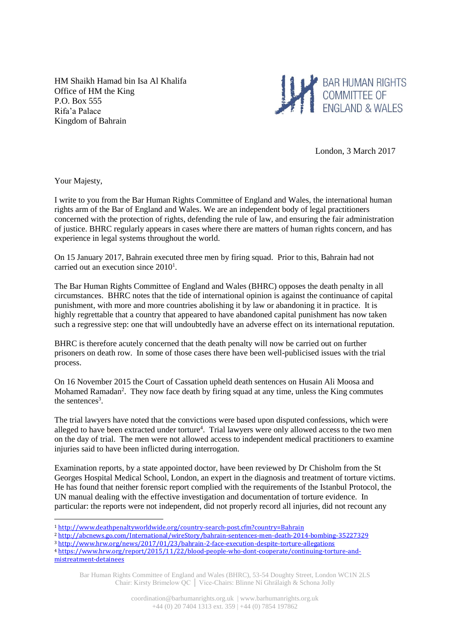HM Shaikh Hamad bin Isa Al Khalifa Office of HM the King P.O. Box 555 Rifa'a Palace Kingdom of Bahrain



London, 3 March 2017

Your Majesty,

1

I write to you from the Bar Human Rights Committee of England and Wales, the international human rights arm of the Bar of England and Wales. We are an independent body of legal practitioners concerned with the protection of rights, defending the rule of law, and ensuring the fair administration of justice. BHRC regularly appears in cases where there are matters of human rights concern, and has experience in legal systems throughout the world.

On 15 January 2017, Bahrain executed three men by firing squad. Prior to this, Bahrain had not carried out an execution since 2010<sup>1</sup>.

The Bar Human Rights Committee of England and Wales (BHRC) opposes the death penalty in all circumstances. BHRC notes that the tide of international opinion is against the continuance of capital punishment, with more and more countries abolishing it by law or abandoning it in practice. It is highly regrettable that a country that appeared to have abandoned capital punishment has now taken such a regressive step: one that will undoubtedly have an adverse effect on its international reputation.

BHRC is therefore acutely concerned that the death penalty will now be carried out on further prisoners on death row. In some of those cases there have been well-publicised issues with the trial process.

On 16 November 2015 the Court of Cassation upheld death sentences on Husain Ali Moosa and Mohamed Ramadan<sup>2</sup>. They now face death by firing squad at any time, unless the King commutes the sentences<sup>3</sup>.

The trial lawyers have noted that the convictions were based upon disputed confessions, which were alleged to have been extracted under torture<sup>4</sup>. Trial lawyers were only allowed access to the two men on the day of trial. The men were not allowed access to independent medical practitioners to examine injuries said to have been inflicted during interrogation.

Examination reports, by a state appointed doctor, have been reviewed by Dr Chisholm from the St Georges Hospital Medical School, London, an expert in the diagnosis and treatment of torture victims. He has found that neither forensic report complied with the requirements of the Istanbul Protocol, the UN manual dealing with the effective investigation and documentation of torture evidence. In particular: the reports were not independent, did not properly record all injuries, did not recount any

<sup>1</sup> <http://www.deathpenaltyworldwide.org/country-search-post.cfm?country=Bahrain>

<sup>2</sup> <http://abcnews.go.com/International/wireStory/bahrain-sentences-men-death-2014-bombing-35227329>

<sup>3</sup> <http://www.hrw.org/news/2017/01/23/bahrain-2-face-execution-despite-torture-allegations> <sup>4</sup> [https://www.hrw.org/report/2015/11/22/blood-people-who-dont-cooperate/continuing-torture-and](https://www.hrw.org/report/2015/11/22/blood-people-who-dont-cooperate/continuing-torture-and-mistreatment-detainees)[mistreatment-detainees](https://www.hrw.org/report/2015/11/22/blood-people-who-dont-cooperate/continuing-torture-and-mistreatment-detainees)

Bar Human Rights Committee of England and Wales (BHRC), 53-54 Doughty Street, London WC1N 2LS Chair: Kirsty Brimelow QC │ Vice-Chairs: Blinne Ní Ghrálaigh & Schona Jolly